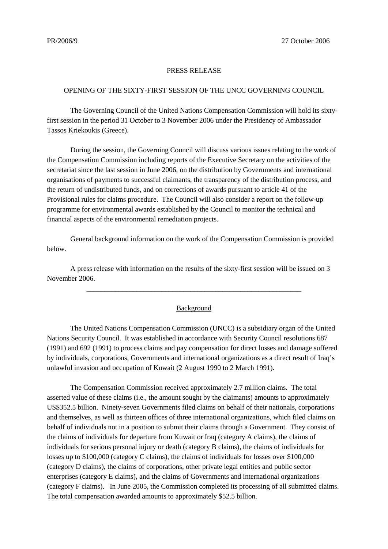## PRESS RELEASE

## OPENING OF THE SIXTY-FIRST SESSION OF THE UNCC GOVERNING COUNCIL

The Governing Council of the United Nations Compensation Commission will hold its sixtyfirst session in the period 31 October to 3 November 2006 under the Presidency of Ambassador Tassos Kriekoukis (Greece).

During the session, the Governing Council will discuss various issues relating to the work of the Compensation Commission including reports of the Executive Secretary on the activities of the secretariat since the last session in June 2006, on the distribution by Governments and international organisations of payments to successful claimants, the transparency of the distribution process, and the return of undistributed funds, and on corrections of awards pursuant to article 41 of the Provisional rules for claims procedure. The Council will also consider a report on the follow-up programme for environmental awards established by the Council to monitor the technical and financial aspects of the environmental remediation projects.

General background information on the work of the Compensation Commission is provided below.

A press release with information on the results of the sixty-first session will be issued on 3 November 2006.

## **Background**

\_\_\_\_\_\_\_\_\_\_\_\_\_\_\_\_\_\_\_\_\_\_\_\_\_\_\_\_\_\_\_\_\_\_\_\_\_\_\_\_\_\_\_\_\_\_\_\_\_\_\_\_\_\_\_\_\_\_\_\_

The United Nations Compensation Commission (UNCC) is a subsidiary organ of the United Nations Security Council. It was established in accordance with Security Council resolutions 687 (1991) and 692 (1991) to process claims and pay compensation for direct losses and damage suffered by individuals, corporations, Governments and international organizations as a direct result of Iraq's unlawful invasion and occupation of Kuwait (2 August 1990 to 2 March 1991).

The Compensation Commission received approximately 2.7 million claims. The total asserted value of these claims (i.e., the amount sought by the claimants) amounts to approximately US\$352.5 billion. Ninety-seven Governments filed claims on behalf of their nationals, corporations and themselves, as well as thirteen offices of three international organizations, which filed claims on behalf of individuals not in a position to submit their claims through a Government. They consist of the claims of individuals for departure from Kuwait or Iraq (category A claims), the claims of individuals for serious personal injury or death (category B claims), the claims of individuals for losses up to \$100,000 (category C claims), the claims of individuals for losses over \$100,000 (category D claims), the claims of corporations, other private legal entities and public sector enterprises (category E claims), and the claims of Governments and international organizations (category F claims). In June 2005, the Commission completed its processing of all submitted claims. The total compensation awarded amounts to approximately \$52.5 billion.